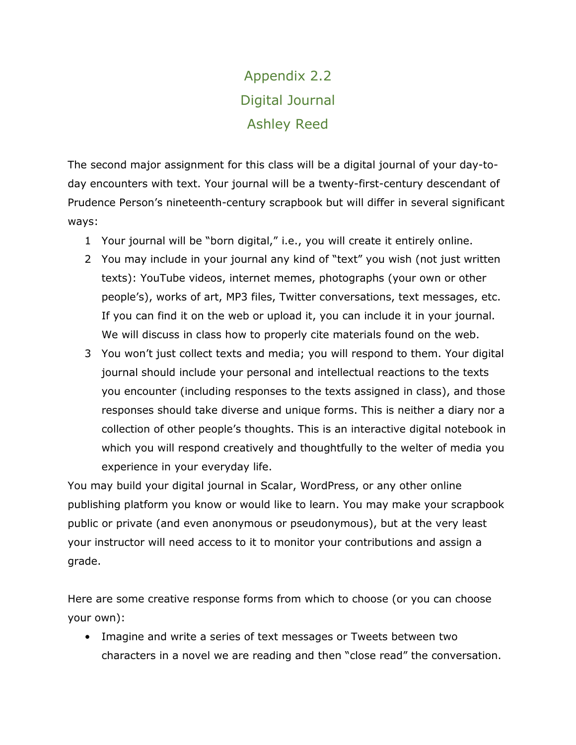# Appendix 2.2 Digital Journal Ashley Reed

The second major assignment for this class will be a digital journal of your day-today encounters with text. Your journal will be a twenty-first-century descendant of Prudence Person's nineteenth-century scrapbook but will differ in several significant ways:

- 1 Your journal will be "born digital," i.e., you will create it entirely online.
- 2 You may include in your journal any kind of "text" you wish (not just written texts): YouTube videos, internet memes, photographs (your own or other people's), works of art, MP3 files, Twitter conversations, text messages, etc. If you can find it on the web or upload it, you can include it in your journal. We will discuss in class how to properly cite materials found on the web.
- 3 You won't just collect texts and media; you will respond to them. Your digital journal should include your personal and intellectual reactions to the texts you encounter (including responses to the texts assigned in class), and those responses should take diverse and unique forms. This is neither a diary nor a collection of other people's thoughts. This is an interactive digital notebook in which you will respond creatively and thoughtfully to the welter of media you experience in your everyday life.

You may build your digital journal in Scalar, WordPress, or any other online publishing platform you know or would like to learn. You may make your scrapbook public or private (and even anonymous or pseudonymous), but at the very least your instructor will need access to it to monitor your contributions and assign a grade.

Here are some creative response forms from which to choose (or you can choose your own):

• Imagine and write a series of text messages or Tweets between two characters in a novel we are reading and then "close read" the conversation.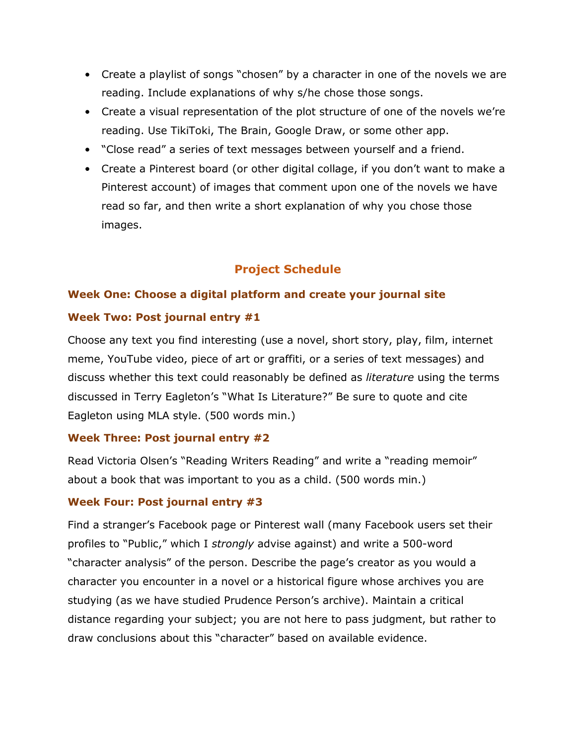- Create a playlist of songs "chosen" by a character in one of the novels we are reading. Include explanations of why s/he chose those songs.
- Create a visual representation of the plot structure of one of the novels we're reading. Use TikiToki, The Brain, Google Draw, or some other app.
- "Close read" a series of text messages between yourself and a friend.
- Create a Pinterest board (or other digital collage, if you don't want to make a Pinterest account) of images that comment upon one of the novels we have read so far, and then write a short explanation of why you chose those images.

# **Project Schedule**

# **Week One: Choose a digital platform and create your journal site**

# **Week Two: Post journal entry #1**

Choose any text you find interesting (use a novel, short story, play, film, internet meme, YouTube video, piece of art or graffiti, or a series of text messages) and discuss whether this text could reasonably be defined as *literature* using the terms discussed in Terry Eagleton's "What Is Literature?" Be sure to quote and cite Eagleton using MLA style. (500 words min.)

# **Week Three: Post journal entry #2**

Read Victoria Olsen's "Reading Writers Reading" and write a "reading memoir" about a book that was important to you as a child. (500 words min.)

# **Week Four: Post journal entry #3**

Find a stranger's Facebook page or Pinterest wall (many Facebook users set their profiles to "Public," which I *strongly* advise against) and write a 500-word "character analysis" of the person. Describe the page's creator as you would a character you encounter in a novel or a historical figure whose archives you are studying (as we have studied Prudence Person's archive). Maintain a critical distance regarding your subject; you are not here to pass judgment, but rather to draw conclusions about this "character" based on available evidence.